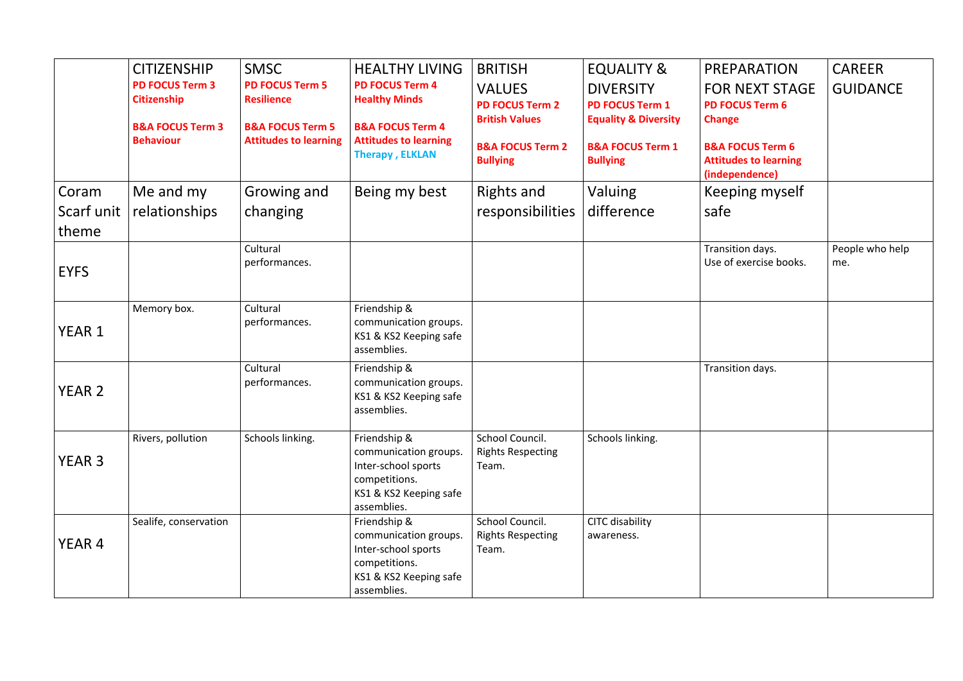|            | <b>CITIZENSHIP</b><br><b>PD FOCUS Term 3</b>      | <b>SMSC</b><br><b>PD FOCUS Term 5</b>            | <b>HEALTHY LIVING</b><br><b>PD FOCUS Term 4</b>                                                                        | <b>BRITISH</b>                                                   | <b>EQUALITY &amp;</b>                                                         | PREPARATION                                                                   | <b>CAREER</b>          |
|------------|---------------------------------------------------|--------------------------------------------------|------------------------------------------------------------------------------------------------------------------------|------------------------------------------------------------------|-------------------------------------------------------------------------------|-------------------------------------------------------------------------------|------------------------|
|            | <b>Citizenship</b><br><b>B&amp;A FOCUS Term 3</b> | <b>Resilience</b><br><b>B&amp;A FOCUS Term 5</b> | <b>Healthy Minds</b><br><b>B&amp;A FOCUS Term 4</b>                                                                    | <b>VALUES</b><br><b>PD FOCUS Term 2</b><br><b>British Values</b> | <b>DIVERSITY</b><br><b>PD FOCUS Term 1</b><br><b>Equality &amp; Diversity</b> | <b>FOR NEXT STAGE</b><br><b>PD FOCUS Term 6</b><br><b>Change</b>              | <b>GUIDANCE</b>        |
|            | <b>Behaviour</b>                                  | <b>Attitudes to learning</b>                     | <b>Attitudes to learning</b><br><b>Therapy, ELKLAN</b>                                                                 | <b>B&amp;A FOCUS Term 2</b><br><b>Bullying</b>                   | <b>B&amp;A FOCUS Term 1</b><br><b>Bullying</b>                                | <b>B&amp;A FOCUS Term 6</b><br><b>Attitudes to learning</b><br>(independence) |                        |
| Coram      | Me and my                                         | Growing and                                      | Being my best                                                                                                          | <b>Rights and</b>                                                | Valuing                                                                       | Keeping myself                                                                |                        |
| Scarf unit | relationships                                     | changing                                         |                                                                                                                        | responsibilities                                                 | difference                                                                    | safe                                                                          |                        |
| theme      |                                                   |                                                  |                                                                                                                        |                                                                  |                                                                               |                                                                               |                        |
| EYFS       |                                                   | Cultural<br>performances.                        |                                                                                                                        |                                                                  |                                                                               | Transition days.<br>Use of exercise books.                                    | People who help<br>me. |
| YEAR 1     | Memory box.                                       | Cultural<br>performances.                        | Friendship &<br>communication groups.<br>KS1 & KS2 Keeping safe<br>assemblies.                                         |                                                                  |                                                                               |                                                                               |                        |
| YEAR 2     |                                                   | Cultural<br>performances.                        | Friendship &<br>communication groups.<br>KS1 & KS2 Keeping safe<br>assemblies.                                         |                                                                  |                                                                               | Transition days.                                                              |                        |
| YEAR 3     | Rivers, pollution                                 | Schools linking.                                 | Friendship &<br>communication groups.<br>Inter-school sports<br>competitions.<br>KS1 & KS2 Keeping safe<br>assemblies. | School Council.<br><b>Rights Respecting</b><br>Team.             | Schools linking.                                                              |                                                                               |                        |
| YEAR 4     | Sealife, conservation                             |                                                  | Friendship &<br>communication groups.<br>Inter-school sports<br>competitions.<br>KS1 & KS2 Keeping safe<br>assemblies. | School Council.<br><b>Rights Respecting</b><br>Team.             | CITC disability<br>awareness.                                                 |                                                                               |                        |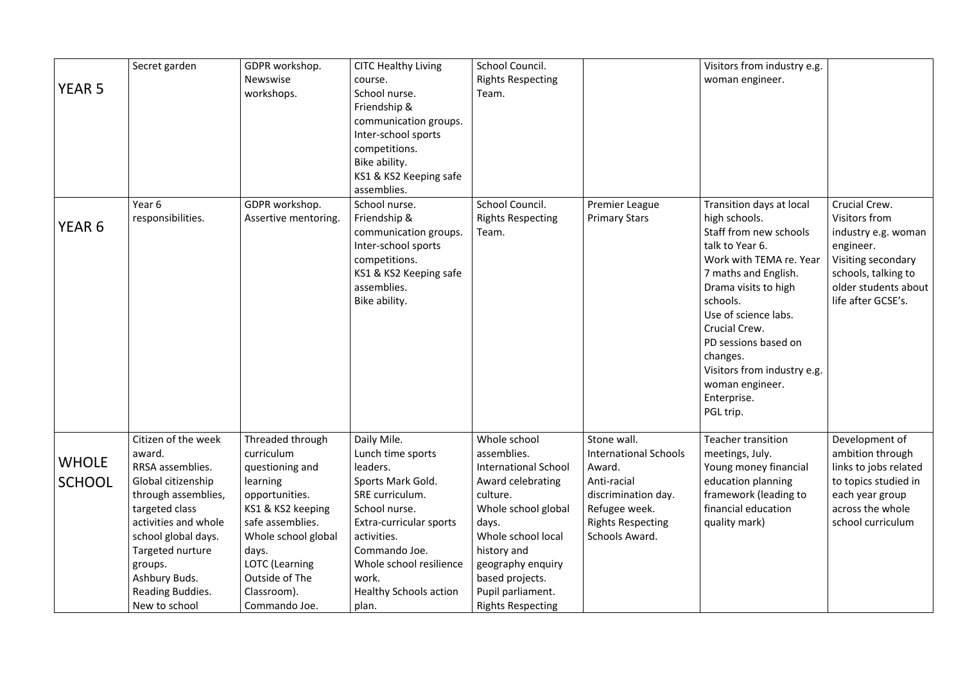|               | Secret garden        | GDPR workshop.        | <b>CITC Healthy Living</b>    | School Council.             |                              | Visitors from industry e.g. |                       |
|---------------|----------------------|-----------------------|-------------------------------|-----------------------------|------------------------------|-----------------------------|-----------------------|
|               |                      | Newswise              | course.                       | <b>Rights Respecting</b>    |                              | woman engineer.             |                       |
| <b>YEAR 5</b> |                      | workshops.            | School nurse.                 | Team.                       |                              |                             |                       |
|               |                      |                       | Friendship &                  |                             |                              |                             |                       |
|               |                      |                       | communication groups.         |                             |                              |                             |                       |
|               |                      |                       | Inter-school sports           |                             |                              |                             |                       |
|               |                      |                       | competitions.                 |                             |                              |                             |                       |
|               |                      |                       | Bike ability.                 |                             |                              |                             |                       |
|               |                      |                       | KS1 & KS2 Keeping safe        |                             |                              |                             |                       |
|               |                      |                       | assemblies.                   |                             |                              |                             |                       |
|               | Year 6               | GDPR workshop.        | School nurse.                 | School Council.             | <b>Premier League</b>        | Transition days at local    | Crucial Crew.         |
| YEAR 6        | responsibilities.    | Assertive mentoring.  | Friendship &                  | <b>Rights Respecting</b>    | <b>Primary Stars</b>         | high schools.               | Visitors from         |
|               |                      |                       | communication groups.         | Team.                       |                              | Staff from new schools      | industry e.g. woman   |
|               |                      |                       | Inter-school sports           |                             |                              | talk to Year 6.             | engineer.             |
|               |                      |                       | competitions.                 |                             |                              | Work with TEMA re. Year     | Visiting secondary    |
|               |                      |                       | KS1 & KS2 Keeping safe        |                             |                              | 7 maths and English.        | schools, talking to   |
|               |                      |                       | assemblies.                   |                             |                              | Drama visits to high        | older students about  |
|               |                      |                       | Bike ability.                 |                             |                              | schools.                    | life after GCSE's.    |
|               |                      |                       |                               |                             |                              | Use of science labs.        |                       |
|               |                      |                       |                               |                             |                              | Crucial Crew.               |                       |
|               |                      |                       |                               |                             |                              | PD sessions based on        |                       |
|               |                      |                       |                               |                             |                              | changes.                    |                       |
|               |                      |                       |                               |                             |                              | Visitors from industry e.g. |                       |
|               |                      |                       |                               |                             |                              | woman engineer.             |                       |
|               |                      |                       |                               |                             |                              | Enterprise.                 |                       |
|               |                      |                       |                               |                             |                              | PGL trip.                   |                       |
|               | Citizen of the week  | Threaded through      | Daily Mile.                   | Whole school                | Stone wall.                  | <b>Teacher transition</b>   | Development of        |
|               | award.               | curriculum            | Lunch time sports             | assemblies.                 | <b>International Schools</b> | meetings, July.             | ambition through      |
| <b>WHOLE</b>  | RRSA assemblies.     | questioning and       | leaders.                      | <b>International School</b> | Award.                       | Young money financial       | links to jobs related |
| <b>SCHOOL</b> | Global citizenship   | learning              | Sports Mark Gold.             | Award celebrating           | Anti-racial                  | education planning          | to topics studied in  |
|               | through assemblies,  | opportunities.        | SRE curriculum.               | culture.                    | discrimination day.          | framework (leading to       | each year group       |
|               | targeted class       | KS1 & KS2 keeping     | School nurse.                 | Whole school global         | Refugee week.                | financial education         | across the whole      |
|               | activities and whole | safe assemblies.      | Extra-curricular sports       | days.                       | <b>Rights Respecting</b>     | quality mark)               | school curriculum     |
|               | school global days.  | Whole school global   | activities.                   | Whole school local          | Schools Award.               |                             |                       |
|               | Targeted nurture     | days.                 | Commando Joe.                 | history and                 |                              |                             |                       |
|               | groups.              | <b>LOTC</b> (Learning | Whole school resilience       | geography enquiry           |                              |                             |                       |
|               | Ashbury Buds.        | Outside of The        | work.                         | based projects.             |                              |                             |                       |
|               | Reading Buddies.     | Classroom).           | <b>Healthy Schools action</b> | Pupil parliament.           |                              |                             |                       |
|               | New to school        | Commando Joe.         | plan.                         | <b>Rights Respecting</b>    |                              |                             |                       |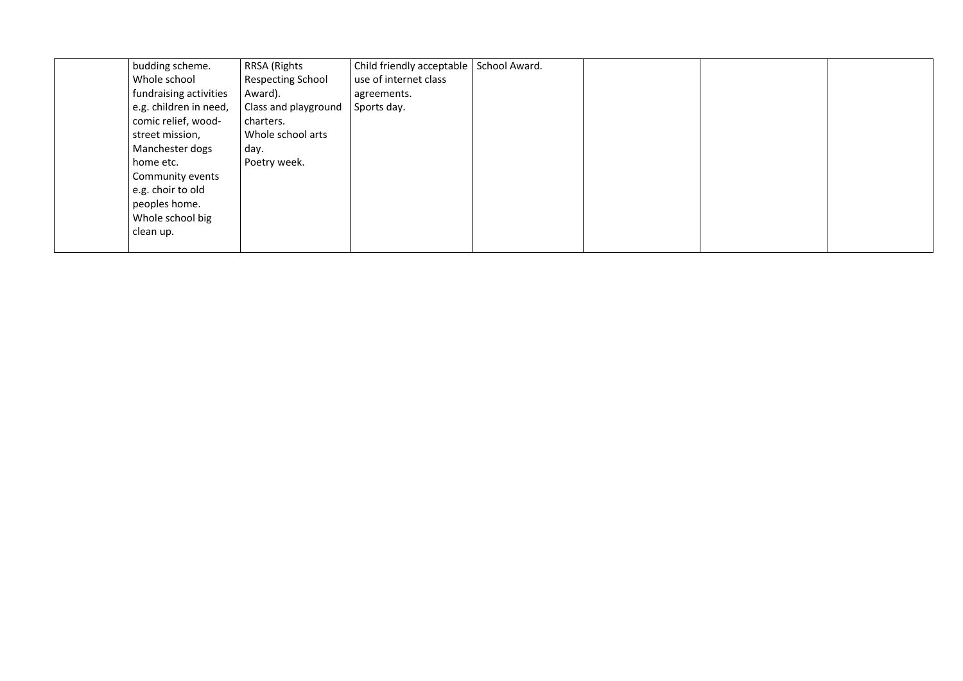| budding scheme.                                                                                                                                                                             | <b>RRSA (Rights</b>                                                            | Child friendly acceptable | School Award. |  |
|---------------------------------------------------------------------------------------------------------------------------------------------------------------------------------------------|--------------------------------------------------------------------------------|---------------------------|---------------|--|
| Whole school                                                                                                                                                                                | <b>Respecting School</b>                                                       | use of internet class     |               |  |
| fundraising activities                                                                                                                                                                      | Award).                                                                        | agreements.               |               |  |
| e.g. children in need,<br>comic relief, wood-<br>street mission,<br>Manchester dogs<br>home etc.<br>Community events<br>e.g. choir to old<br>peoples home.<br>Whole school big<br>clean up. | Class and playground<br>charters.<br>Whole school arts<br>day.<br>Poetry week. | Sports day.               |               |  |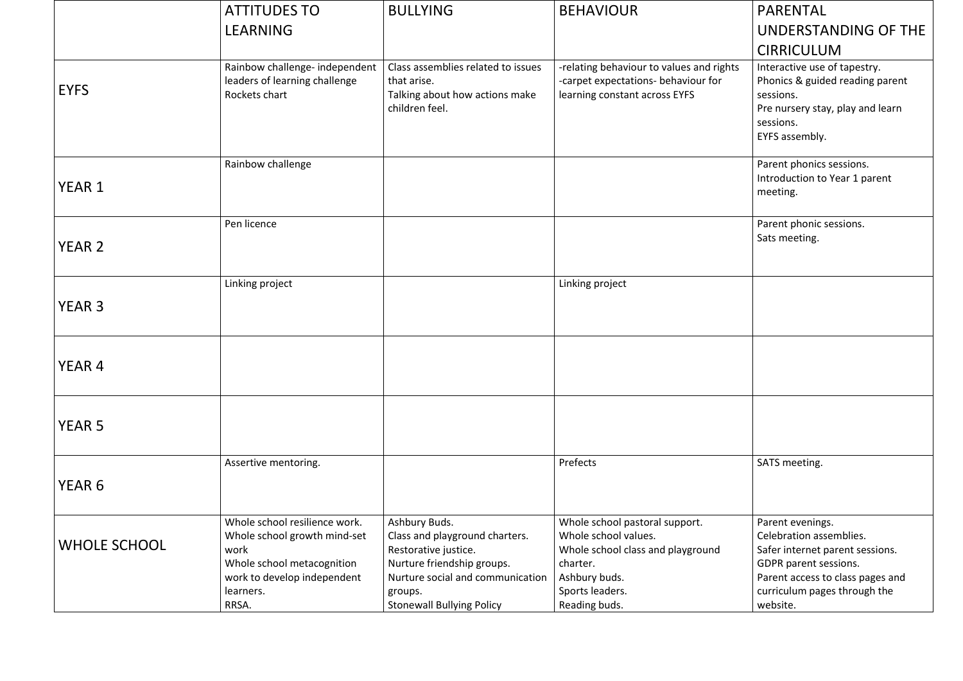|                     | <b>ATTITUDES TO</b>                                                                                                                             | <b>BULLYING</b>                                                                                                                                      | <b>BEHAVIOUR</b>                                                                                                                            | PARENTAL                                                                                                                                                          |
|---------------------|-------------------------------------------------------------------------------------------------------------------------------------------------|------------------------------------------------------------------------------------------------------------------------------------------------------|---------------------------------------------------------------------------------------------------------------------------------------------|-------------------------------------------------------------------------------------------------------------------------------------------------------------------|
|                     | LEARNING                                                                                                                                        |                                                                                                                                                      |                                                                                                                                             | UNDERSTANDING                                                                                                                                                     |
|                     |                                                                                                                                                 |                                                                                                                                                      |                                                                                                                                             | <b>CIRRICULUM</b>                                                                                                                                                 |
| <b>EYFS</b>         | Rainbow challenge- independent<br>leaders of learning challenge<br>Rockets chart                                                                | Class assemblies related to issues<br>that arise.<br>Talking about how actions make<br>children feel.                                                | -relating behaviour to values and rights<br>-carpet expectations- behaviour for<br>learning constant across EYFS                            | Interactive use of tapestry.<br>Phonics & guided reading p<br>sessions.<br>Pre nursery stay, play and I<br>sessions.<br>EYFS assembly.                            |
| YEAR 1              | Rainbow challenge                                                                                                                               |                                                                                                                                                      |                                                                                                                                             | Parent phonics sessions.<br>Introduction to Year 1 pare<br>meeting.                                                                                               |
|                     | Pen licence                                                                                                                                     |                                                                                                                                                      |                                                                                                                                             | Parent phonic sessions.                                                                                                                                           |
| <b>YEAR 2</b>       |                                                                                                                                                 |                                                                                                                                                      |                                                                                                                                             | Sats meeting.                                                                                                                                                     |
|                     | Linking project                                                                                                                                 |                                                                                                                                                      | Linking project                                                                                                                             |                                                                                                                                                                   |
| <b>YEAR 3</b>       |                                                                                                                                                 |                                                                                                                                                      |                                                                                                                                             |                                                                                                                                                                   |
| YEAR 4              |                                                                                                                                                 |                                                                                                                                                      |                                                                                                                                             |                                                                                                                                                                   |
| <b>YEAR 5</b>       |                                                                                                                                                 |                                                                                                                                                      |                                                                                                                                             |                                                                                                                                                                   |
|                     | Assertive mentoring.                                                                                                                            |                                                                                                                                                      | Prefects                                                                                                                                    | SATS meeting.                                                                                                                                                     |
| YEAR 6              |                                                                                                                                                 |                                                                                                                                                      |                                                                                                                                             |                                                                                                                                                                   |
| <b>WHOLE SCHOOL</b> | Whole school resilience work.<br>Whole school growth mind-set<br>work<br>Whole school metacognition<br>work to develop independent<br>learners. | Ashbury Buds.<br>Class and playground charters.<br>Restorative justice.<br>Nurture friendship groups.<br>Nurture social and communication<br>groups. | Whole school pastoral support.<br>Whole school values.<br>Whole school class and playground<br>charter.<br>Ashbury buds.<br>Sports leaders. | Parent evenings.<br>Celebration assemblies.<br>Safer internet parent sessio<br>GDPR parent sessions.<br>Parent access to class page<br>curriculum pages through t |
|                     | RRSA.                                                                                                                                           | <b>Stonewall Bullying Policy</b>                                                                                                                     | Reading buds.                                                                                                                               | website.                                                                                                                                                          |

|            | PARENTAL                                                                                                                                                                                |
|------------|-----------------------------------------------------------------------------------------------------------------------------------------------------------------------------------------|
|            | UNDERSTANDING OF THE                                                                                                                                                                    |
|            | <b>CIRRICULUM</b>                                                                                                                                                                       |
| <b>nts</b> | Interactive use of tapestry.<br>Phonics & guided reading parent<br>sessions.<br>Pre nursery stay, play and learn<br>sessions.<br>EYFS assembly.                                         |
|            | Parent phonics sessions.<br>Introduction to Year 1 parent                                                                                                                               |
|            | meeting.                                                                                                                                                                                |
|            | Parent phonic sessions.<br>Sats meeting.                                                                                                                                                |
|            |                                                                                                                                                                                         |
|            |                                                                                                                                                                                         |
|            |                                                                                                                                                                                         |
|            |                                                                                                                                                                                         |
|            |                                                                                                                                                                                         |
|            | SATS meeting.                                                                                                                                                                           |
|            | Parent evenings.<br>Celebration assemblies.<br>Safer internet parent sessions.<br>GDPR parent sessions.<br>Parent access to class pages and<br>curriculum pages through the<br>website. |